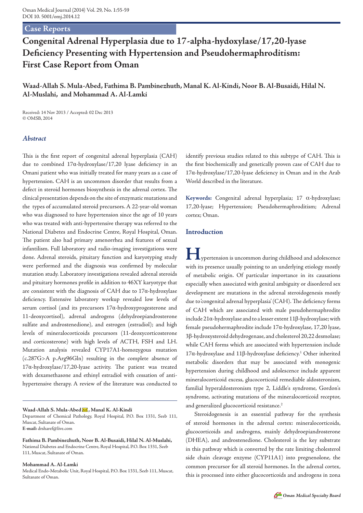## **Case Reports**

# **Congenital Adrenal Hyperplasia due to 17-alpha-hydoxylase/17,20-lyase Deficiency Presenting with Hypertension and Pseudohermaphroditism: First Case Report from Oman**

# **Waad-Allah S. Mula-Abed, Fathima B. Pambinezhuth, Manal K. Al-Kindi, Noor B. Al-Busaidi, Hilal N. Al-Muslahi, and Mohammad A. Al-Lamki**

Received: 14 Nov 2013 / Accepted: 02 Dec 2013 © OMSB, 2014

### *Abstract*

This is the first report of congenital adrenal hyperplasia (CAH) due to combined 17α-hydroxylase/17,20 lyase deficiency in an Omani patient who was initially treated for many years as a case of hypertension. CAH is an uncommon disorder that results from a defect in steroid hormones biosynthesis in the adrenal cortex. The clinical presentation depends on the site of enzymatic mutations and the types of accumulated steroid precursors. A 22-year-old woman who was diagnosed to have hypertension since the age of 10 years who was treated with anti-hypertensive therapy was referred to the National Diabetes and Endocrine Centre, Royal Hospital, Oman. The patient also had primary amenorrhea and features of sexual infantilism. Full laboratory and radio-imaging investigations were done. Adrenal steroids, pituitary function and karyotyping study were performed and the diagnosis was confirmed by molecular mutation study. Laboratory investigations revealed adrenal steroids and pituitary hormones profile in addition to 46XY karyotype that are consistent with the diagnosis of CAH due to 17α-hydroxylase deficiency. Extensive laboratory workup revealed low levels of serum cortisol (and its precursors 17α-hydroxyprogesterone and 11-deoxycortisol), adrenal androgens (dehydroepiandrosterone sulfate and androstenedione), and estrogen (estradiol); and high levels of mineralocorticoids precursors (11-deoxycorticosterone and corticosterone) with high levels of ACTH, FSH and LH. Mutation analysis revealed CYP17A1-homozygous mutation (c.287G>A p.Arg96Gln) resulting in the complete absence of 17α-hydroxylase/17,20-lyase activity. The patient was treated with dexamethasone and ethinyl estradiol with cessation of antihypertensive therapy. A review of the literature was conducted to

#### Waad-Allah S. Mula-Abed  $\blacktriangleright$ , Manal K. Al-Kindi

Department of Chemical Pathology, Royal Hospital, P.O. Box 1331, Seeb 111, Muscat, Sultanate of Oman. **E-mail:** drsharef@live.com

**Fathima B. Pambinezhuth, Noor B. Al-Busaidi, Hilal N. Al-Muslahi,** National Diabetes and Endocrine Centre, Royal Hospital, P.O. Box 1331, Seeb 111, Muscat, Sultanate of Oman.

#### **Mohammad A. Al-Lamki**

Medical Endo-Metabolic Unit, Royal Hospital, P.O. Box 1331, Seeb 111, Muscat, Sultanate of Oman.

identify previous studies related to this subtype of CAH. This is the first biochemically and genetically proven case of CAH due to 17α-hydroxylase/17,20-lyase deficiency in Oman and in the Arab World described in the literature.

**Keywords:** Congenital adrenal hyperplasia; 17 α-hydroxylase; 17,20-lyase; Hypertension; Pseudohermaphroditism; Adrenal cortex; Oman.

#### **Introduction**

**H**ypertension is uncommon during childhood and adolescence with its presence usually pointing to an underlying etiology mostly of metabolic origin. Of particular importance in its causations especially when associated with genital ambiguity or disordered sex development are mutations in the adrenal steroidogenesis mostly due to 'congenital adrenal hyperplasia' (CAH). The deficiency forms of CAH which are associated with male pseudohermaphrodite include 21α-hydroxylase and to a lesser extent 11β-hydroxylase; with female pseudohermaphrodite include 17α-hydroxylase, 17,20 lyase, 3β-hydroxysteroid dehydrogenase, and cholesterol 20,22 desmolase; while CAH forms which are associated with hypertension include 17α-hydroxylase and 11β-hydroxylase deficiency.1 Other inherited metabolic disorders that may be associated with monogenic hypertension during childhood and adolescence include apparent mineralocorticoid excess, glucocorticoid remediable aldosteronism, familial hyperaldosteronism type 2, Liddle's syndrome, Gordon's syndrome, activating mutations of the mineralocorticoid receptor, and generalized glucocorticoid resistance.<sup>2</sup>

Steroidogenesis is an essential pathway for the synthesis of steroid hormones in the adrenal cortex: mineralocorticoids, glucocorticoids and androgens, mainly dehydroepiandrosterone (DHEA), and androstenedione. Cholesterol is the key substrate in this pathway which is converted by the rate limiting cholesterol side chain cleavage enzyme (CYP11A1) into pregnenolone, the common precursor for all steroid hormones. In the adrenal cortex, this is processed into either glucocorticoids and androgens in zona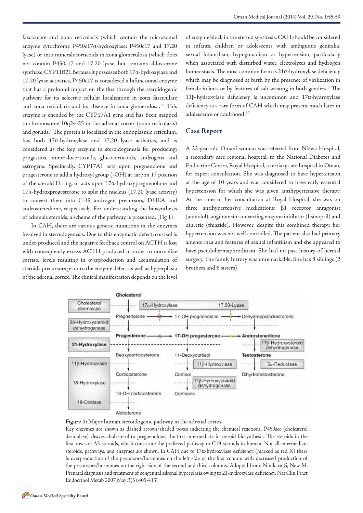fasciculate and zona reticularis (which contain the microsomal enzyme cytochrome P450c17α-hydroxylase: P450c17 and 17,20 lyase) or into mineralocorticoids in zona glomerulosa (which does not contain P450c17 and 17,20 lyase, but contains aldosterone synthase, CYP11B2). Because it possesses both 17α-hydroxylase and 17,20 lyase activities, P450c17 is considered a bifunctional enzyme that has a profound impact on the flux through the steroidogenic pathway for its selective cellular localization in zona fasciculate and zona reticularis and its absence in zona glomerulosa.<sup>1,3</sup> This enzyme is encoded by the CYP17A1 gene and has been mapped to chromosome 10q24-25 in the adrenal cortex (zona reticularis) and gonads.4 The protein is localized in the endoplasmic reticulum, has both 17α-hydroxylase and 17,20 lyase activities, and is considered as the key enzyme in steroidogenesis for producing: progestins, mineralocorticoids, glucocorticoids, androgens and estrogens. Specifically, CYP17A1 acts upon pregnenolone and progesterone to add a hydroxyl group (-OH) at carbon 17 position of the steroid D ring, or acts upon 17α-hydroxypregnenolone and  $17\alpha$ -hydroxprogesterone to split the nucleus (17,20 lyase activity) to convert them into C-19 androgen precursors, DHEA and androstenedione, respectively. For understanding the biosynthesis of adrenals steroids, a scheme of the pathway is presented. (Fig 1)

In CAH, there are various genetic mutations in the enzymes involved in steroidogenesis. Due to this enzymatic defect, cortisol is under-produced and the negative feedback control on ACTH is lost with consequently excess ACTH produced in order to normalize cortisol levels resulting in overproduction and accumulation of steroids precursors prior to the enzyme defect as well as hyperplasia of the adrenal cortex. The clinical manifestation depends on the level of enzyme block in the steroid synthesis. CAH should be considered in infants, children or adolescents with ambiguous genitalia, sexual infantilism, hypogonadism or hypertension, particularly when associated with disturbed water, electrolytes and hydrogen homeostasis. The most common form is  $21\alpha$ -hydroxylase deficiency which may be diagnosed at birth by the presence of virilization in female infants or by features of salt wasting in both genders.<sup>5</sup> The 11β-hydroxylase deficiency is uncommon and 17α-hydroxylase deficiency is a rare form of CAH which may present much later in adolescence or adulthood.<sup>6,7</sup>

### **Case Report**

A 22-year-old Omani woman was referred from Nizwa Hospital, a secondary care regional hospital, to the National Diabetes and Endocrine Centre, Royal Hospital, a tertiary care hospital in Oman, for expert consultation. She was diagnosed to have hypertension at the age of 10 years and was considered to have early essential hypertension for which she was given antihypertensive therapy. At the time of her consultation at Royal Hospital, she was on three antihypertensive medications: β1 receptor antagonist (atenolol), angiotensin-converting enzyme inhibitor (lisinopril) and diuretic (thiazide). However, despite this combined therapy, her hypertension was not well controlled. The patient also had primary amenorrhea and features of sexual infantilism and she appeared to have pseudohermaphroditism. She had no past history of hernial surgery. The family history was unremarkable. She has 8 siblings (2 brothers and 6 sisters).





Key enzymes are shown as dashed arrows/shaded boxes indicating the chemical reactions. P450scc (cholesterol desmolase) cleaves cholesterol to pregnenolone, the first intermediate in steroid biosynthesis. The steroids in the first row are Δ5-steroids, which constitute the preferred pathway to C19 steroids in human. Not all intermediate steroids, pathways, and enzymes are shown. In CAH due to 17α-hydroxylase deficiency (marked as red X) there is overproduction of the precursors/hormones on the left side of the first column with decreased production of the precursors/hormones on the right side of the second and third columns. 'Adopted from: Nimkarn S, New M. Prenatal diagnosis and treatment of congenital adrenal hyperplasia owing to 21-hydroxylase deficiency. Nat Clin Pract Endocrinol Metab 2007 May;3(5):405-413'.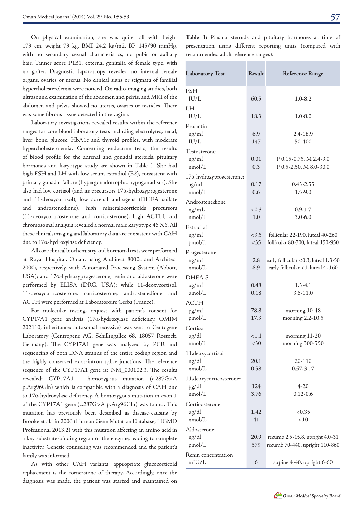On physical examination, she was quite tall with height 173 cm, weight 73 kg, BMI 24.2 kg/m2, BP 145/90 mmHg, with no secondary sexual characteristics, no pubic or axillary hair, Tanner score P1B1, external genitalia of female type, with no goiter. Diagnostic laparoscopy revealed no internal female organs, ovaries or uterus. No clinical signs or stigmata of familial hypercholesterolemia were noticed. On radio-imaging studies, both ultrasound examination of the abdomen and pelvis, and MRI of the abdomen and pelvis showed no uterus, ovaries or testicles. There was some fibrous tissue detected in the vagina.

Laboratory investigations revealed results within the reference ranges for core blood laboratory tests including electrolytes, renal, liver, bone, glucose, HbA1c and thyroid profiles, with moderate hypercholesterolemia. Concerning endocrine tests, the results of blood profile for the adrenal and gonadal steroids, pituitary hormones and karyotype study are shown in Table 1. She had high FSH and LH with low serum estradiol (E2), consistent with primary gonadal failure (hypergonadotrophic hypogonadism). She also had low cortisol (and its precursors 17α-hydroxyprogesterone and 11-deoxycortisol), low adrenal androgens (DHEA sulfate and androstenedione), high mineralocorticoids precursors (11-deoxycorticosterone and corticosterone), high ACTH, and chromosomal analysis revealed a normal male karyotype 46 XY. All these clinical, imaging and laboratory data are consistent with CAH due to 17α-hydroxylase deficiency.

All core clinical biochemistry and hormonal tests were performed at Royal Hospital, Oman, using Architect 8000c and Architect 2000i, respectively, with Automated Processing System (Abbott, USA); and 17α-hydroxyprogesterone, renin and aldosterone were performed by ELISA (DRG, USA); while 11-deoxycortisol, 11-deoxycorticosterone, corticosterone, androstenedione and ACTH were performed at Laboratoroire Cerba (France).

For molecular testing, request with patient's consent for CYP17A1 gene analysis (17α-hydroxylase deficiency, OMIM 202110; inheritance: autosomal recessive) was sent to Centogene Laboratory (Centrogene AG, Schillingallee 68, 18057 Rostock, Germany). The CYP17A1 gene was analyzed by PCR and sequencing of both DNA strands of the entire coding region and the highly conserved exon-intron splice junctions. The reference sequence of the CYP17A1 gene is: NM\_000102.3. The results revealed: CYP17A1 - homozygous mutation (c.287G>A p.Arg96Gln) which is compatible with a diagnosis of CAH due to 17α-hydroxylase deficiency. A homozygous mutation in exon 1 of the CYP17A1 gene (c.287G>A p.Arg96Gln) was found. This mutation has previously been described as disease-causing by Brooke et al.<sup>8</sup> in 2006 (Human Gene Mutation Database; HGMD Professional 2013.2) with this mutation affecting an amino acid in a key substrate-binding region of the enzyme, leading to complete inactivity. Genetic counseling was recommended and the patient's family was informed.

As with other CAH variants, appropriate glucocorticoid replacement is the cornerstone of therapy. Accordingly, once the diagnosis was made, the patient was started and maintained on

**Table 1:** Plasma steroids and pituitary hormones at time of presentation using different reporting units (compared with recommended adult reference ranges).

| <b>Laboratory Test</b>           | Result       | <b>Reference Range</b>               |
|----------------------------------|--------------|--------------------------------------|
| <b>FSH</b>                       |              |                                      |
| IU/L                             | 60.5         | 1.0-8.2                              |
| LH                               |              |                                      |
| IU/L                             | 18.3         | $1.0 - 8.0$                          |
| Prolactin                        |              |                                      |
| ng/ml                            | 6.9          | 2.4-18.9                             |
| IU/L                             | 147          | 50-400                               |
| Testosterone                     |              |                                      |
| ng/ml                            | 0.01         | F 0.15-0.75, M 2.4-9.0               |
| nmol/L                           | 0.3          | F 0.5-2.50, M 8.0-30.0               |
| 17α-hydroxyprogesterone;         |              |                                      |
| ng/ml<br>nmol/L                  | 0.17<br>0.6  | 0.43-2.55<br>1.5-9.0                 |
|                                  |              |                                      |
| Androstenedione                  | < 0.3        | $0.9 - 1.7$                          |
| ng/mL<br>nmol/L                  | 1.0          | $3.0 - 6.0$                          |
| Estradiol                        |              |                                      |
| ng/ml                            | < 9.5        | follicular 22-190, luteal 40-260     |
| pmol/L                           | $<$ 35       | follicular 80-700, luteal 150-950    |
| Progesterone                     |              |                                      |
| ng/ml                            | 2.8          | early follicular <0.3, luteal 1.3-50 |
| nmol/L                           | 8.9          | early follicular <1, luteal 4 -160   |
| DHEA-S                           |              |                                      |
| $\mu$ g/ml                       | 0.48         | $1.3 - 4.1$                          |
| $\mu$ mol/L                      | 0.18         | 3.6-11.0                             |
| <b>ACTH</b>                      |              |                                      |
| pg/ml                            | 78.8         | morning 10-48                        |
| pmol/L                           | 17.3         | morning 2.2-10.5                     |
| Cortisol                         |              |                                      |
| $\mu$ g/dl                       | <1.1         | morning 11-20                        |
| nmol/L                           | <30          | morning 300-550                      |
| 11.deoxycortisol                 |              |                                      |
| ng/dl<br>nmol/L                  | 20.1<br>0.58 | 20-110<br>$0.57 - 3.17$              |
|                                  |              |                                      |
| 11.deoxycorticosterone:<br>pg/dl | 124          | $4 - 20$                             |
| nmol/L                           | 3.76         | $0.12 - 0.6$                         |
| Corticosterone                   |              |                                      |
| $\mu$ g/dl                       | 1.42         | < 0.35                               |
| nmol/L                           | 41           | < 10                                 |
| Aldosterone                      |              |                                      |
| ng/dl                            | 20.9         | recumb 2.5-15.8, upright 4.0-31      |
| pmol/L                           | 579          | recumb 70-440, upright 110-860       |
| Renin concentration              |              |                                      |
| mIU/L                            | 6            | supine 4-40, upright 6-60            |

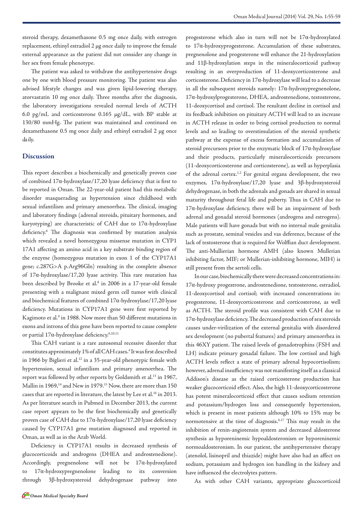steroid therapy, dexamethasone 0.5 mg once daily, with estrogen replacement, ethinyl estradiol 2 μg once daily to improve the female external appearance as the patient did not consider any change in her sex from female phenotype.

The patient was asked to withdraw the antihypertensive drugs one by one with blood pressure monitoring. The patient was also advised lifestyle changes and was given lipid-lowering therapy, atorvastatin 10 mg once daily. Three months after the diagnosis, the laboratory investigations revealed normal levels of ACTH 6.0 pg/mL and corticosterone 0.165 μg/dL, with BP stable at 130/80 mmHg. The patient was maintained and continued on dexamethasone 0.5 mg once daily and ethinyl estradiol 2 μg once daily.

### **Discussion**

This report describes a biochemically and genetically proven case of combined 17α-hydroxylase/17,20 lyase deficiency that is first to be reported in Oman. The 22-year-old patient had this metabolic disorder masquerading as hypertension since childhood with sexual infantilism and primary amenorrhea. The clinical, imaging and laboratory findings (adrenal steroids, pituitary hormones, and karyotyping) are characteristic of CAH due to 17α-hydroxylase deficiency.6 The diagnosis was confirmed by mutation analysis which revealed a novel homozygous missense mutation in CYP1 17A1 affecting an amino acid in a key substrate binding region of the enzyme (homozygous mutation in exon 1 of the CYP17A1 gene; c.287G>A p.Arg96Gln) resulting in the complete absence of 17α-hydroxylase/17,20 lyase activity. This rare mutation has been described by Brooke et al.<sup>8</sup> in 2006 in a 17-year-old female presenting with a malignant mixed germ cell tumor with clinical and biochemical features of combined 17α-hydroxylase/17,20 lyase deficiency. Mutations in CYP17A1 gene were first reported by Kagimoto et al.<sup>9</sup> in 1988. Now more than 50 different mutations in exons and introns of this gene have been reported to cause complete or partial 17α-hydroxylase deficiency.6,10,11

This CAH variant is a rare autosomal recessive disorder that constitutes approximately 1% of all CAH cases.4 It was first described in 1966 by Biglieri et al.<sup>12</sup> in a 35-year-old phenotypic female with hypertension, sexual infantilism and primary amenorrhea. The report was followed by other reports by Goldsmith et al.<sup>13</sup> in 1967, Mallin in 1969,<sup>14</sup> and New in 1979.<sup>15</sup> Now, there are more than 150 cases that are reported in literature, the latest by Lee et al.<sup>16</sup> in 2013. As per literature search in Pubmed in December 2013, the current case report appears to be the first biochemically and genetically proven case of CAH due to 17α-hydroxylase/17,20 lyase deficiency caused by CYP17A1 gene mutation diagnosed and reported in Oman, as well as in the Arab World.

Deficiency in CYP17A1 results in decreased synthesis of glucocorticoids and androgens (DHEA and androstenedione). Accordingly, pregnenolone will not be 17α-hydroxylated to 17α-hydroxypregnenolone leading to its conversion through 3β-hydroxysteroid dehydrogenase pathway into

progesterone which also in turn will not be 17α-hydroxylated to 17α-hydroxyprogesterone. Accumulation of these substrates, pregnenolone and progesterone will enhance the 21-hydroxylation and 11β-hydroxylation steps in the mineralocorticoid pathway resulting in an overproduction of 11-deoxycorticosterone and corticosterone. Deficiency in 17α-hydroxylase will lead to a decrease in all the subsequent steroids namely: 17α-hydroxypregnenolone, 17α-hydroxylprogesterone, DHEA, androstenedione, testosterone, 11-deoxycortisol and cortisol. The resultant decline in cortisol and its feedback inhibition on pituitary ACTH will lead to an increase in ACTH release in order to bring cortisol production to normal levels and so leading to overstimulation of the steroid synthetic pathway at the expense of excess formation and accumulation of steroid precursors prior to the enzymatic block of 17α-hydroxylase and their products, particularly mineralocorticoids precursors (11-deoxycorticosterone and corticosterone), as well as hyperplasia of the adrenal cortex.<sup>1,2</sup> For genital organs development, the two enzymes, 17α-hydroxylase/17,20 lyase and 3β-hydroxysteroid dehydrogenase, in both the adrenals and gonads are shared in sexual maturity throughout fetal life and puberty. Thus in CAH due to 17α-hydroxylase deficiency, there will be an impairment of both adrenal and gonadal steroid hormones (androgens and estrogens). Male patients will have gonads but with no internal male genitalia such as prostate, seminal vesicles and vas deference, because of the lack of testosterone that is required for Wolffian duct development. The anti-Mullierian hormone AMH (also known Mullerian inhibiting factor, MIF; or Mullerian-inhibiting hormone, MIH) is still present from the sertoli cells.

In our case, biochemically there were decreased concentrations in: 17α-hydroxy progestrone, androstenedione, testosterone, estradiol, 11-deoxycortisol and cortisol; with increased concentrations in: progesterone, 11-deoxycorticosterone and corticosterone, as well as ACTH. The steroid profile was consistent with CAH due to 17α-hydroxylase deficiency. The decreased production of sex steroids causes under-virilization of the external genitalia with disordered sex development (no pubertal features) and primary amenorrhea in this 46XY patient. The raised levels of gonadotrophins (FSH and LH) indicate primary gonadal failure. The low cortisol and high ACTH levels reflect a state of primary adrenal hypocortisolism; however, adrenal insufficiency was not manifesting itself as a classical Addison's disease as the raised corticosterone production has weaker glucocorticoid effect. Also, the high 11-deoxycorticosterone has potent mineralocorticoid effect that causes sodium retention and potassium/hydrogen loss and consequently hypertension, which is present in most patients although 10% to 15% may be normotensive at the time of diagnosis.6,17 This may result in the inhibition of renin-angiotensin system and decreased aldosterone synthesis as hyporeninemic hypoaldosteronism or hyporeninemic normoaldosteronism. In our patient, the antihypertensive therapy (atenolol, lisinopril and thiazide) might have also had an affect on sodium, potassium and hydrogen ion handling in the kidney and have influenced the electrolytes pattern.

As with other CAH variants, appropriate glucocorticoid